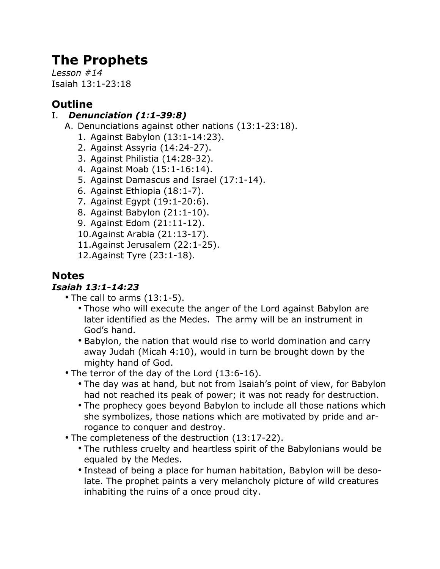# **The Prophets**

*Lesson #14* Isaiah 13:1-23:18

## **Outline**

## I. *Denunciation (1:1-39:8)*

- A. Denunciations against other nations (13:1-23:18).
	- 1. Against Babylon (13:1-14:23).
	- 2. Against Assyria (14:24-27).
	- 3. Against Philistia (14:28-32).
	- 4. Against Moab (15:1-16:14).
	- 5. Against Damascus and Israel (17:1-14).
	- 6. Against Ethiopia (18:1-7).
	- 7. Against Egypt (19:1-20:6).
	- 8. Against Babylon (21:1-10).
	- 9. Against Edom (21:11-12).
	- 10.Against Arabia (21:13-17).
	- 11.Against Jerusalem (22:1-25).
	- 12.Against Tyre (23:1-18).

## **Notes**

## *Isaiah 13:1-14:23*

- The call to arms (13:1-5).
	- Those who will execute the anger of the Lord against Babylon are later identified as the Medes. The army will be an instrument in God's hand.
	- Babylon, the nation that would rise to world domination and carry away Judah (Micah 4:10), would in turn be brought down by the mighty hand of God.
- The terror of the day of the Lord (13:6-16).
	- The day was at hand, but not from Isaiah's point of view, for Babylon had not reached its peak of power; it was not ready for destruction.
	- The prophecy goes beyond Babylon to include all those nations which she symbolizes, those nations which are motivated by pride and arrogance to conquer and destroy.
- The completeness of the destruction (13:17-22).
	- The ruthless cruelty and heartless spirit of the Babylonians would be equaled by the Medes.
	- Instead of being a place for human habitation, Babylon will be desolate. The prophet paints a very melancholy picture of wild creatures inhabiting the ruins of a once proud city.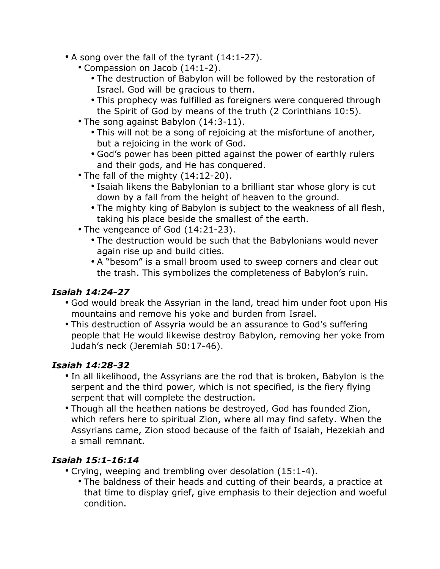- A song over the fall of the tyrant (14:1-27).
	- Compassion on Jacob (14:1-2).
		- The destruction of Babylon will be followed by the restoration of Israel. God will be gracious to them.
		- This prophecy was fulfilled as foreigners were conquered through the Spirit of God by means of the truth (2 Corinthians 10:5).
	- The song against Babylon (14:3-11).
		- This will not be a song of rejoicing at the misfortune of another, but a rejoicing in the work of God.
		- God's power has been pitted against the power of earthly rulers and their gods, and He has conquered.
	- The fall of the mighty (14:12-20).
		- Isaiah likens the Babylonian to a brilliant star whose glory is cut down by a fall from the height of heaven to the ground.
		- The mighty king of Babylon is subject to the weakness of all flesh, taking his place beside the smallest of the earth.
	- The vengeance of God (14:21-23).
		- The destruction would be such that the Babylonians would never again rise up and build cities.
		- A "besom" is a small broom used to sweep corners and clear out the trash. This symbolizes the completeness of Babylon's ruin.

## *Isaiah 14:24-27*

- God would break the Assyrian in the land, tread him under foot upon His mountains and remove his yoke and burden from Israel.
- This destruction of Assyria would be an assurance to God's suffering people that He would likewise destroy Babylon, removing her yoke from Judah's neck (Jeremiah 50:17-46).

## *Isaiah 14:28-32*

- In all likelihood, the Assyrians are the rod that is broken, Babylon is the serpent and the third power, which is not specified, is the fiery flying serpent that will complete the destruction.
- Though all the heathen nations be destroyed, God has founded Zion, which refers here to spiritual Zion, where all may find safety. When the Assyrians came, Zion stood because of the faith of Isaiah, Hezekiah and a small remnant.

## *Isaiah 15:1-16:14*

- Crying, weeping and trembling over desolation (15:1-4).
	- The baldness of their heads and cutting of their beards, a practice at that time to display grief, give emphasis to their dejection and woeful condition.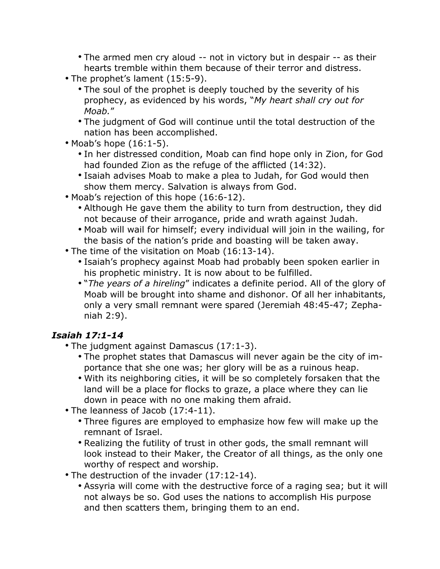- The armed men cry aloud -- not in victory but in despair -- as their hearts tremble within them because of their terror and distress.
- The prophet's lament (15:5-9).
	- The soul of the prophet is deeply touched by the severity of his prophecy, as evidenced by his words, "*My heart shall cry out for Moab.*"
	- The judgment of God will continue until the total destruction of the nation has been accomplished.
- Moab's hope (16:1-5).
	- In her distressed condition, Moab can find hope only in Zion, for God had founded Zion as the refuge of the afflicted (14:32).
	- Isaiah advises Moab to make a plea to Judah, for God would then show them mercy. Salvation is always from God.
- Moab's rejection of this hope (16:6-12).
	- Although He gave them the ability to turn from destruction, they did not because of their arrogance, pride and wrath against Judah.
	- Moab will wail for himself; every individual will join in the wailing, for the basis of the nation's pride and boasting will be taken away.
- The time of the visitation on Moab (16:13-14).
	- Isaiah's prophecy against Moab had probably been spoken earlier in his prophetic ministry. It is now about to be fulfilled.
	- "*The years of a hireling*" indicates a definite period. All of the glory of Moab will be brought into shame and dishonor. Of all her inhabitants, only a very small remnant were spared (Jeremiah 48:45-47; Zephaniah 2:9).

## *Isaiah 17:1-14*

- The judgment against Damascus (17:1-3).
	- The prophet states that Damascus will never again be the city of importance that she one was; her glory will be as a ruinous heap.
	- With its neighboring cities, it will be so completely forsaken that the land will be a place for flocks to graze, a place where they can lie down in peace with no one making them afraid.
- The leanness of Jacob (17:4-11).
	- Three figures are employed to emphasize how few will make up the remnant of Israel.
	- Realizing the futility of trust in other gods, the small remnant will look instead to their Maker, the Creator of all things, as the only one worthy of respect and worship.
- The destruction of the invader (17:12-14).
	- Assyria will come with the destructive force of a raging sea; but it will not always be so. God uses the nations to accomplish His purpose and then scatters them, bringing them to an end.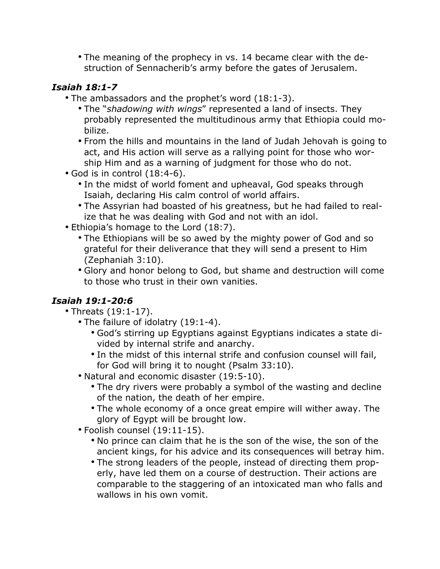• The meaning of the prophecy in vs. 14 became clear with the destruction of Sennacherib's army before the gates of Jerusalem.

#### *Isaiah 18:1-7*

- The ambassadors and the prophet's word (18:1-3).
	- The "*shadowing with wings*" represented a land of insects. They probably represented the multitudinous army that Ethiopia could mobilize.
	- From the hills and mountains in the land of Judah Jehovah is going to act, and His action will serve as a rallying point for those who worship Him and as a warning of judgment for those who do not.
- God is in control (18:4-6).
	- In the midst of world foment and upheaval, God speaks through Isaiah, declaring His calm control of world affairs.
	- The Assyrian had boasted of his greatness, but he had failed to realize that he was dealing with God and not with an idol.
- Ethiopia's homage to the Lord (18:7).
	- The Ethiopians will be so awed by the mighty power of God and so grateful for their deliverance that they will send a present to Him (Zephaniah 3:10).
	- Glory and honor belong to God, but shame and destruction will come to those who trust in their own vanities.

## *Isaiah 19:1-20:6*

- Threats (19:1-17).
	- The failure of idolatry (19:1-4).
		- God's stirring up Egyptians against Egyptians indicates a state divided by internal strife and anarchy.
		- In the midst of this internal strife and confusion counsel will fail, for God will bring it to nought (Psalm 33:10).
	- Natural and economic disaster (19:5-10).
		- The dry rivers were probably a symbol of the wasting and decline of the nation, the death of her empire.
		- The whole economy of a once great empire will wither away. The glory of Egypt will be brought low.
	- Foolish counsel (19:11-15).
		- No prince can claim that he is the son of the wise, the son of the ancient kings, for his advice and its consequences will betray him.
		- The strong leaders of the people, instead of directing them properly, have led them on a course of destruction. Their actions are comparable to the staggering of an intoxicated man who falls and wallows in his own vomit.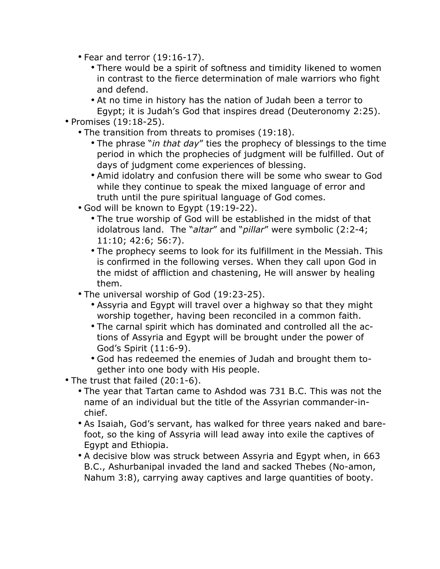- Fear and terror (19:16-17).
	- There would be a spirit of softness and timidity likened to women in contrast to the fierce determination of male warriors who fight and defend.
	- At no time in history has the nation of Judah been a terror to Egypt; it is Judah's God that inspires dread (Deuteronomy 2:25).
- Promises (19:18-25).
	- The transition from threats to promises (19:18).
		- The phrase "*in that day*" ties the prophecy of blessings to the time period in which the prophecies of judgment will be fulfilled. Out of days of judgment come experiences of blessing.
		- Amid idolatry and confusion there will be some who swear to God while they continue to speak the mixed language of error and truth until the pure spiritual language of God comes.
	- God will be known to Egypt (19:19-22).
		- The true worship of God will be established in the midst of that idolatrous land. The "*altar*" and "*pillar*" were symbolic (2:2-4; 11:10; 42:6; 56:7).
		- The prophecy seems to look for its fulfillment in the Messiah. This is confirmed in the following verses. When they call upon God in the midst of affliction and chastening, He will answer by healing them.
	- The universal worship of God (19:23-25).
		- Assyria and Egypt will travel over a highway so that they might worship together, having been reconciled in a common faith.
		- The carnal spirit which has dominated and controlled all the actions of Assyria and Egypt will be brought under the power of God's Spirit (11:6-9).
		- God has redeemed the enemies of Judah and brought them together into one body with His people.
- The trust that failed (20:1-6).
	- The year that Tartan came to Ashdod was 731 B.C. This was not the name of an individual but the title of the Assyrian commander-inchief.
	- As Isaiah, God's servant, has walked for three years naked and barefoot, so the king of Assyria will lead away into exile the captives of Egypt and Ethiopia.
	- A decisive blow was struck between Assyria and Egypt when, in 663 B.C., Ashurbanipal invaded the land and sacked Thebes (No-amon, Nahum 3:8), carrying away captives and large quantities of booty.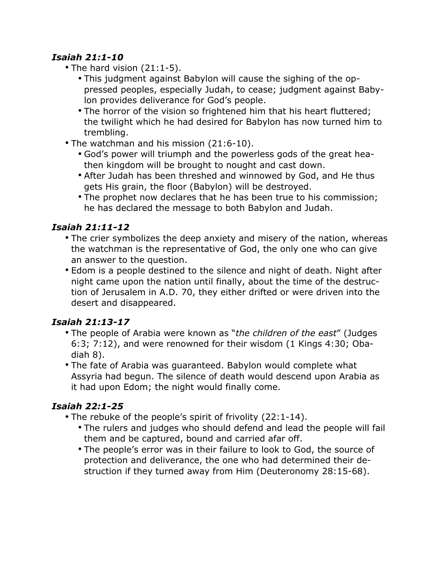#### *Isaiah 21:1-10*

- The hard vision (21:1-5).
	- This judgment against Babylon will cause the sighing of the oppressed peoples, especially Judah, to cease; judgment against Babylon provides deliverance for God's people.
	- The horror of the vision so frightened him that his heart fluttered; the twilight which he had desired for Babylon has now turned him to trembling.
- The watchman and his mission (21:6-10).
	- God's power will triumph and the powerless gods of the great heathen kingdom will be brought to nought and cast down.
	- After Judah has been threshed and winnowed by God, and He thus gets His grain, the floor (Babylon) will be destroyed.
	- The prophet now declares that he has been true to his commission; he has declared the message to both Babylon and Judah.

## *Isaiah 21:11-12*

- The crier symbolizes the deep anxiety and misery of the nation, whereas the watchman is the representative of God, the only one who can give an answer to the question.
- Edom is a people destined to the silence and night of death. Night after night came upon the nation until finally, about the time of the destruction of Jerusalem in A.D. 70, they either drifted or were driven into the desert and disappeared.

## *Isaiah 21:13-17*

- The people of Arabia were known as "*the children of the east*" (Judges 6:3; 7:12), and were renowned for their wisdom (1 Kings 4:30; Obadiah 8).
- The fate of Arabia was guaranteed. Babylon would complete what Assyria had begun. The silence of death would descend upon Arabia as it had upon Edom; the night would finally come.

## *Isaiah 22:1-25*

- The rebuke of the people's spirit of frivolity (22:1-14).
	- The rulers and judges who should defend and lead the people will fail them and be captured, bound and carried afar off.
	- The people's error was in their failure to look to God, the source of protection and deliverance, the one who had determined their destruction if they turned away from Him (Deuteronomy 28:15-68).